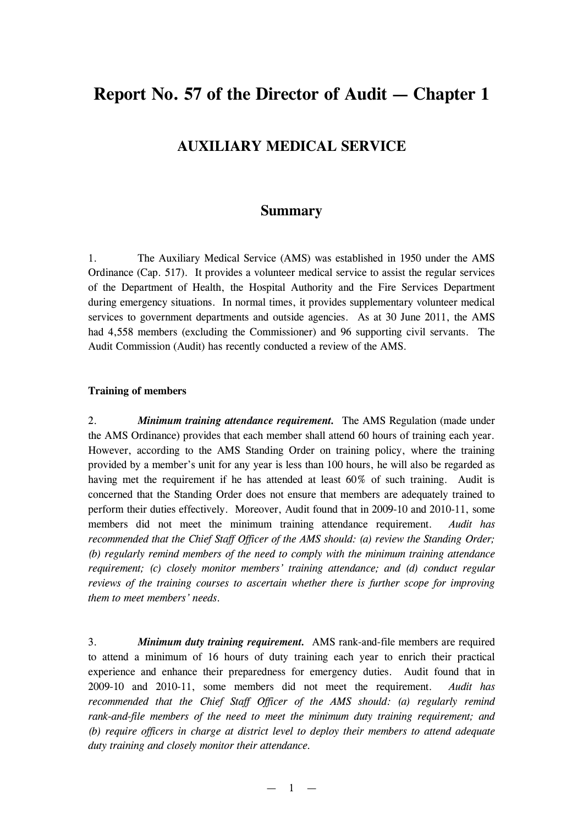# **Report No. 57 of the Director of Audit — Chapter 1**

## **AUXILIARY MEDICAL SERVICE**

### **Summary**

1. The Auxiliary Medical Service (AMS) was established in 1950 under the AMS Ordinance (Cap. 517). It provides a volunteer medical service to assist the regular services of the Department of Health, the Hospital Authority and the Fire Services Department during emergency situations. In normal times, it provides supplementary volunteer medical services to government departments and outside agencies. As at 30 June 2011, the AMS had 4,558 members (excluding the Commissioner) and 96 supporting civil servants. The Audit Commission (Audit) has recently conducted a review of the AMS.

#### **Training of members**

2. *Minimum training attendance requirement.* The AMS Regulation (made under the AMS Ordinance) provides that each member shall attend 60 hours of training each year. However, according to the AMS Standing Order on training policy, where the training provided by a member's unit for any year is less than 100 hours, he will also be regarded as having met the requirement if he has attended at least 60% of such training. Audit is concerned that the Standing Order does not ensure that members are adequately trained to perform their duties effectively. Moreover, Audit found that in 2009-10 and 2010-11, some members did not meet the minimum training attendance requirement. *Audit has recommended that the Chief Staff Officer of the AMS should: (a) review the Standing Order; (b) regularly remind members of the need to comply with the minimum training attendance requirement; (c) closely monitor members' training attendance; and (d) conduct regular reviews of the training courses to ascertain whether there is further scope for improving them to meet members' needs.*

3. *Minimum duty training requirement.* AMS rank-and-file members are required to attend a minimum of 16 hours of duty training each year to enrich their practical experience and enhance their preparedness for emergency duties. Audit found that in 2009-10 and 2010-11, some members did not meet the requirement. *Audit has recommended that the Chief Staff Officer of the AMS should: (a) regularly remind rank-and-file members of the need to meet the minimum duty training requirement; and (b) require officers in charge at district level to deploy their members to attend adequate duty training and closely monitor their attendance.*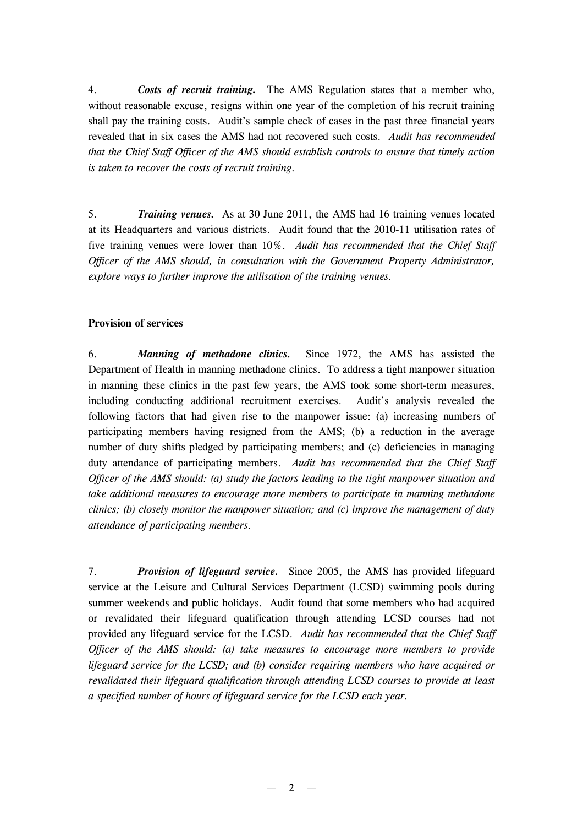4. *Costs of recruit training.* The AMS Regulation states that a member who, without reasonable excuse, resigns within one year of the completion of his recruit training shall pay the training costs. Audit's sample check of cases in the past three financial years revealed that in six cases the AMS had not recovered such costs. *Audit has recommended that the Chief Staff Officer of the AMS should establish controls to ensure that timely action is taken to recover the costs of recruit training.*

5. *Training venues.* As at 30 June 2011, the AMS had 16 training venues located at its Headquarters and various districts. Audit found that the 2010-11 utilisation rates of five training venues were lower than 10%. *Audit has recommended that the Chief Staff Officer of the AMS should, in consultation with the Government Property Administrator, explore ways to further improve the utilisation of the training venues.*

#### **Provision of services**

6. *Manning of methadone clinics.* Since 1972, the AMS has assisted the Department of Health in manning methadone clinics. To address a tight manpower situation in manning these clinics in the past few years, the AMS took some short-term measures, including conducting additional recruitment exercises. Audit's analysis revealed the following factors that had given rise to the manpower issue: (a) increasing numbers of participating members having resigned from the AMS; (b) a reduction in the average number of duty shifts pledged by participating members; and (c) deficiencies in managing duty attendance of participating members. *Audit has recommended that the Chief Staff Officer of the AMS should: (a) study the factors leading to the tight manpower situation and take additional measures to encourage more members to participate in manning methadone clinics; (b) closely monitor the manpower situation; and (c) improve the management of duty attendance of participating members.*

7. *Provision of lifeguard service.* Since 2005, the AMS has provided lifeguard service at the Leisure and Cultural Services Department (LCSD) swimming pools during summer weekends and public holidays. Audit found that some members who had acquired or revalidated their lifeguard qualification through attending LCSD courses had not provided any lifeguard service for the LCSD. *Audit has recommended that the Chief Staff Officer of the AMS should: (a) take measures to encourage more members to provide lifeguard service for the LCSD; and (b) consider requiring members who have acquired or revalidated their lifeguard qualification through attending LCSD courses to provide at least a specified number of hours of lifeguard service for the LCSD each year.*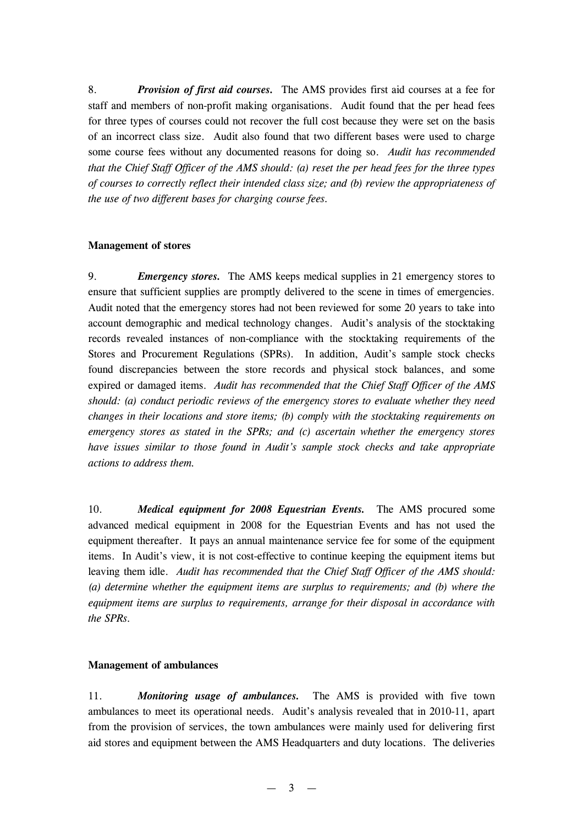8. *Provision of first aid courses.* The AMS provides first aid courses at a fee for staff and members of non-profit making organisations. Audit found that the per head fees for three types of courses could not recover the full cost because they were set on the basis of an incorrect class size. Audit also found that two different bases were used to charge some course fees without any documented reasons for doing so. *Audit has recommended that the Chief Staff Officer of the AMS should: (a) reset the per head fees for the three types of courses to correctly reflect their intended class size; and (b) review the appropriateness of the use of two different bases for charging course fees.*

#### **Management of stores**

9. *Emergency stores.* The AMS keeps medical supplies in 21 emergency stores to ensure that sufficient supplies are promptly delivered to the scene in times of emergencies. Audit noted that the emergency stores had not been reviewed for some 20 years to take into account demographic and medical technology changes. Audit's analysis of the stocktaking records revealed instances of non-compliance with the stocktaking requirements of the Stores and Procurement Regulations (SPRs). In addition, Audit's sample stock checks found discrepancies between the store records and physical stock balances, and some expired or damaged items. *Audit has recommended that the Chief Staff Officer of the AMS should: (a) conduct periodic reviews of the emergency stores to evaluate whether they need changes in their locations and store items; (b) comply with the stocktaking requirements on emergency stores as stated in the SPRs; and (c) ascertain whether the emergency stores have issues similar to those found in Audit's sample stock checks and take appropriate actions to address them.*

10. *Medical equipment for 2008 Equestrian Events.* The AMS procured some advanced medical equipment in 2008 for the Equestrian Events and has not used the equipment thereafter. It pays an annual maintenance service fee for some of the equipment items. In Audit's view, it is not cost-effective to continue keeping the equipment items but leaving them idle. *Audit has recommended that the Chief Staff Officer of the AMS should: (a) determine whether the equipment items are surplus to requirements; and (b) where the equipment items are surplus to requirements, arrange for their disposal in accordance with the SPRs.*

### **Management of ambulances**

11. *Monitoring usage of ambulances.* The AMS is provided with five town ambulances to meet its operational needs. Audit's analysis revealed that in 2010-11, apart from the provision of services, the town ambulances were mainly used for delivering first aid stores and equipment between the AMS Headquarters and duty locations. The deliveries